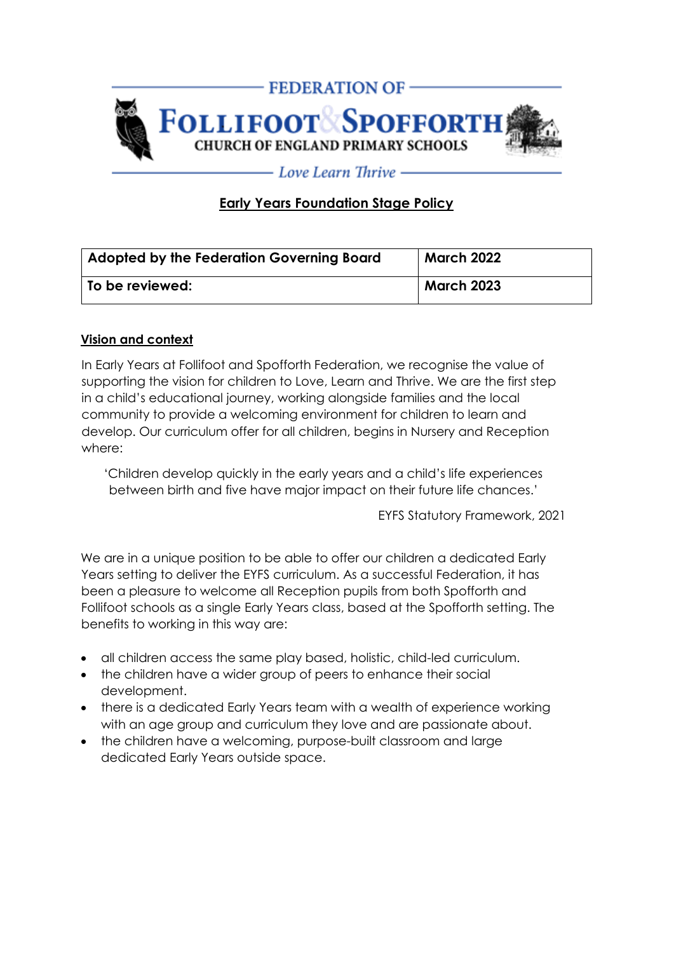

# **Early Years Foundation Stage Policy**

| <b>Adopted by the Federation Governing Board</b> | <b>March 2022</b> |
|--------------------------------------------------|-------------------|
| To be reviewed:                                  | <b>March 2023</b> |

### **Vision and context**

In Early Years at Follifoot and Spofforth Federation, we recognise the value of supporting the vision for children to Love, Learn and Thrive. We are the first step in a child's educational journey, working alongside families and the local community to provide a welcoming environment for children to learn and develop. Our curriculum offer for all children, begins in Nursery and Reception where:

'Children develop quickly in the early years and a child's life experiences between birth and five have major impact on their future life chances.'

EYFS Statutory Framework, 2021

We are in a unique position to be able to offer our children a dedicated Early Years setting to deliver the EYFS curriculum. As a successful Federation, it has been a pleasure to welcome all Reception pupils from both Spofforth and Follifoot schools as a single Early Years class, based at the Spofforth setting. The benefits to working in this way are:

- all children access the same play based, holistic, child-led curriculum.
- the children have a wider group of peers to enhance their social development.
- there is a dedicated Early Years team with a wealth of experience working with an age group and curriculum they love and are passionate about.
- the children have a welcoming, purpose-built classroom and large dedicated Early Years outside space.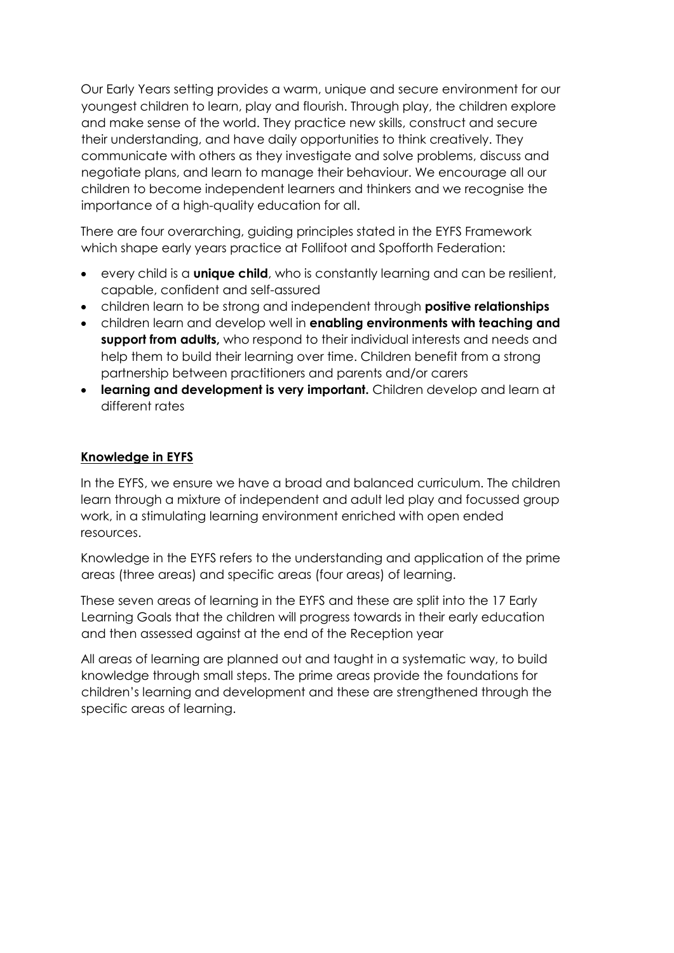Our Early Years setting provides a warm, unique and secure environment for our youngest children to learn, play and flourish. Through play, the children explore and make sense of the world. They practice new skills, construct and secure their understanding, and have daily opportunities to think creatively. They communicate with others as they investigate and solve problems, discuss and negotiate plans, and learn to manage their behaviour. We encourage all our children to become independent learners and thinkers and we recognise the importance of a high-quality education for all.

There are four overarching, guiding principles stated in the EYFS Framework which shape early years practice at Follifoot and Spofforth Federation:

- every child is a **unique child**, who is constantly learning and can be resilient, capable, confident and self-assured
- children learn to be strong and independent through **positive relationships**
- children learn and develop well in **enabling environments with teaching and support from adults,** who respond to their individual interests and needs and help them to build their learning over time. Children benefit from a strong partnership between practitioners and parents and/or carers
- **learning and development is very important.** Children develop and learn at different rates

## **Knowledge in EYFS**

In the EYFS, we ensure we have a broad and balanced curriculum. The children learn through a mixture of independent and adult led play and focussed group work, in a stimulating learning environment enriched with open ended resources.

Knowledge in the EYFS refers to the understanding and application of the prime areas (three areas) and specific areas (four areas) of learning.

These seven areas of learning in the EYFS and these are split into the 17 Early Learning Goals that the children will progress towards in their early education and then assessed against at the end of the Reception year

All areas of learning are planned out and taught in a systematic way, to build knowledge through small steps. The prime areas provide the foundations for children's learning and development and these are strengthened through the specific areas of learning.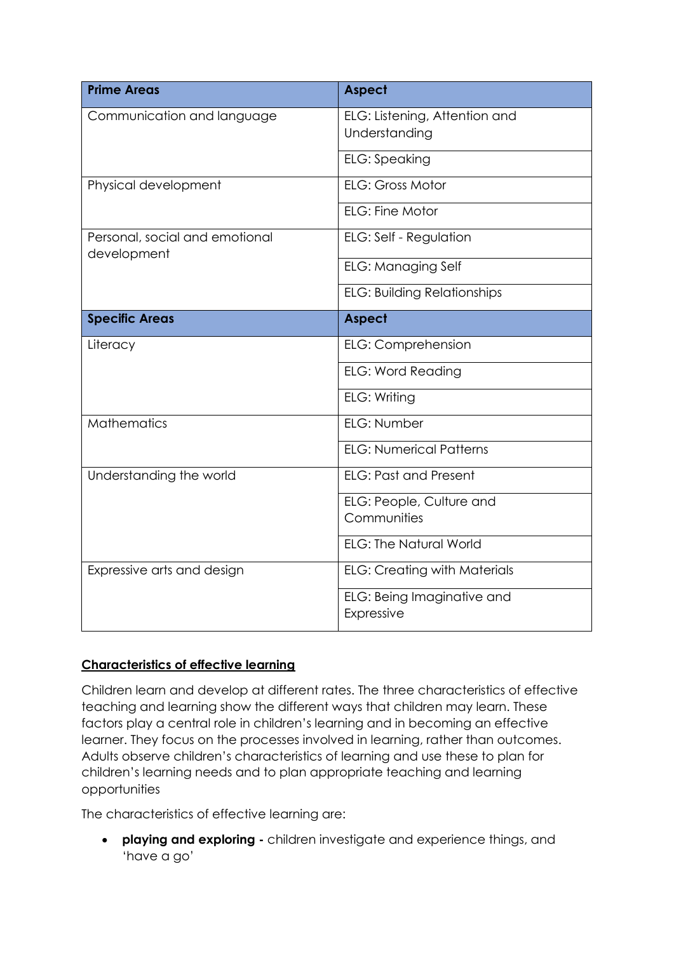| <b>Prime Areas</b>                            | <b>Aspect</b>                                  |
|-----------------------------------------------|------------------------------------------------|
| Communication and language                    | ELG: Listening, Attention and<br>Understanding |
|                                               | <b>ELG:</b> Speaking                           |
| Physical development                          | <b>ELG: Gross Motor</b>                        |
|                                               | ELG: Fine Motor                                |
| Personal, social and emotional<br>development | <b>ELG: Self - Regulation</b>                  |
|                                               | <b>ELG: Managing Self</b>                      |
|                                               | <b>ELG: Building Relationships</b>             |
| <b>Specific Areas</b>                         | <b>Aspect</b>                                  |
| Literacy                                      | <b>ELG: Comprehension</b>                      |
|                                               | <b>ELG: Word Reading</b>                       |
|                                               | ELG: Writing                                   |
| <b>Mathematics</b>                            | ELG: Number                                    |
|                                               | <b>ELG: Numerical Patterns</b>                 |
| Understanding the world                       | <b>ELG: Past and Present</b>                   |
|                                               | ELG: People, Culture and<br>Communities        |
|                                               | <b>ELG: The Natural World</b>                  |
| Expressive arts and design                    | <b>ELG: Creating with Materials</b>            |
|                                               | ELG: Being Imaginative and<br>Expressive       |

# **Characteristics of effective learning**

Children learn and develop at different rates. The three characteristics of effective teaching and learning show the different ways that children may learn. These factors play a central role in children's learning and in becoming an effective learner. They focus on the processes involved in learning, rather than outcomes. Adults observe children's characteristics of learning and use these to plan for children's learning needs and to plan appropriate teaching and learning opportunities

The characteristics of effective learning are:

• **playing and exploring -** children investigate and experience things, and 'have a go'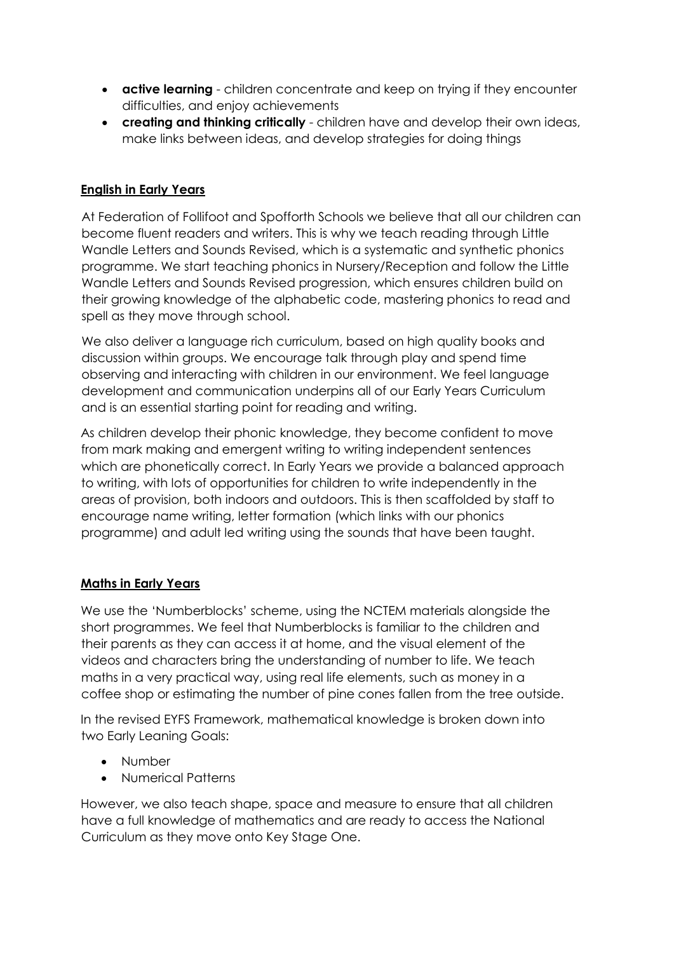- **active learning** children concentrate and keep on trying if they encounter difficulties, and enjoy achievements
- **creating and thinking critically** children have and develop their own ideas, make links between ideas, and develop strategies for doing things

## **English in Early Years**

At Federation of Follifoot and Spofforth Schools we believe that all our children can become fluent readers and writers. This is why we teach reading through Little Wandle Letters and Sounds Revised, which is a systematic and synthetic phonics programme. We start teaching phonics in Nursery/Reception and follow the Little Wandle Letters and Sounds Revised progression, which ensures children build on their growing knowledge of the alphabetic code, mastering phonics to read and spell as they move through school.

We also deliver a language rich curriculum, based on high quality books and discussion within groups. We encourage talk through play and spend time observing and interacting with children in our environment. We feel language development and communication underpins all of our Early Years Curriculum and is an essential starting point for reading and writing.

As children develop their phonic knowledge, they become confident to move from mark making and emergent writing to writing independent sentences which are phonetically correct. In Early Years we provide a balanced approach to writing, with lots of opportunities for children to write independently in the areas of provision, both indoors and outdoors. This is then scaffolded by staff to encourage name writing, letter formation (which links with our phonics programme) and adult led writing using the sounds that have been taught.

### **Maths in Early Years**

We use the 'Numberblocks' scheme, using the NCTEM materials alongside the short programmes. We feel that Numberblocks is familiar to the children and their parents as they can access it at home, and the visual element of the videos and characters bring the understanding of number to life. We teach maths in a very practical way, using real life elements, such as money in a coffee shop or estimating the number of pine cones fallen from the tree outside.

In the revised EYFS Framework, mathematical knowledge is broken down into two Early Leaning Goals:

- Number
- Numerical Patterns

However, we also teach shape, space and measure to ensure that all children have a full knowledge of mathematics and are ready to access the National Curriculum as they move onto Key Stage One.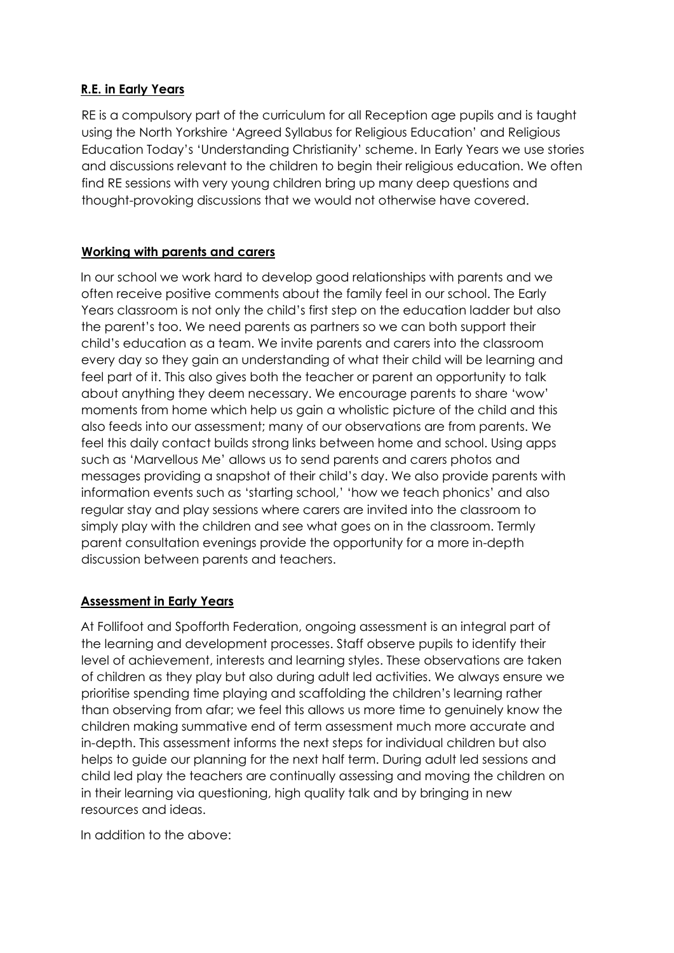## **R.E. in Early Years**

RE is a compulsory part of the curriculum for all Reception age pupils and is taught using the North Yorkshire 'Agreed Syllabus for Religious Education' and Religious Education Today's 'Understanding Christianity' scheme. In Early Years we use stories and discussions relevant to the children to begin their religious education. We often find RE sessions with very young children bring up many deep questions and thought-provoking discussions that we would not otherwise have covered.

## **Working with parents and carers**

In our school we work hard to develop good relationships with parents and we often receive positive comments about the family feel in our school. The Early Years classroom is not only the child's first step on the education ladder but also the parent's too. We need parents as partners so we can both support their child's education as a team. We invite parents and carers into the classroom every day so they gain an understanding of what their child will be learning and feel part of it. This also gives both the teacher or parent an opportunity to talk about anything they deem necessary. We encourage parents to share 'wow' moments from home which help us gain a wholistic picture of the child and this also feeds into our assessment; many of our observations are from parents. We feel this daily contact builds strong links between home and school. Using apps such as 'Marvellous Me' allows us to send parents and carers photos and messages providing a snapshot of their child's day. We also provide parents with information events such as 'starting school,' 'how we teach phonics' and also regular stay and play sessions where carers are invited into the classroom to simply play with the children and see what goes on in the classroom. Termly parent consultation evenings provide the opportunity for a more in-depth discussion between parents and teachers.

### **Assessment in Early Years**

At Follifoot and Spofforth Federation, ongoing assessment is an integral part of the learning and development processes. Staff observe pupils to identify their level of achievement, interests and learning styles. These observations are taken of children as they play but also during adult led activities. We always ensure we prioritise spending time playing and scaffolding the children's learning rather than observing from afar; we feel this allows us more time to genuinely know the children making summative end of term assessment much more accurate and in-depth. This assessment informs the next steps for individual children but also helps to guide our planning for the next half term. During adult led sessions and child led play the teachers are continually assessing and moving the children on in their learning via questioning, high quality talk and by bringing in new resources and ideas.

In addition to the above: